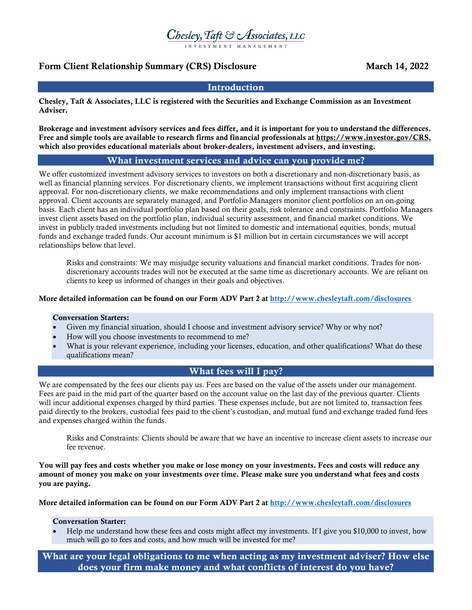# Chesley, Taft & Associates, LLC

# Form Client Relationship Summary (CRS) Disclosure March 14, 2022

# **Introduction**

Chesley, Taft & Associates, LLC is registered with the Securities and Exchange Commission as an Investment Adviser.

Brokerage and investment advisory services and fees differ, and it is important for you to understand the differences. Free and simple tools are available to research firms and financial professionals at https://www.investor.gov/CRS, which also provides educational materials about broker-dealers, investment advisers, and investing.

# What investment services and advice can you provide me?

We offer customized investment advisory services to investors on both a discretionary and non-discretionary basis, as well as financial planning services. For discretionary clients, we implement transactions without first acquiring client approval. For non-discretionary clients, we make recommendations and only implement transactions with client approval. Client accounts are separately managed, and Portfolio Managers monitor client portfolios on an on-going basis. Each client has an individual portfolio plan based on their goals, risk tolerance and constraints. Portfolio Managers invest client assets based on the portfolio plan, individual security assessment, and financial market conditions. We invest in publicly traded investments including but not limited to domestic and international equities, bonds, mutual funds and exchange traded funds. Our account minimum is \$1 million but in certain circumstances we will accept relationships below that level.

Risks and constraints: We may misjudge security valuations and financial market conditions. Trades for nondiscretionary accounts trades will not be executed at the same time as discretionary accounts. We are reliant on clients to keep us informed of changes in their goals and objectives.

## More detailed information can be found on our Form ADV Part 2 at http://www.chesleytaft.com/disclosures

## Conversation Starters:

- Given my financial situation, should I choose and investment advisory service? Why or why not?
- How will you choose investments to recommend to me?
- What is your relevant experience, including your licenses, education, and other qualifications? What do these qualifications mean?

# What fees will I pay?

We are compensated by the fees our clients pay us. Fees are based on the value of the assets under our management. Fees are paid in the mid part of the quarter based on the account value on the last day of the previous quarter. Clients will incur additional expenses charged by third parties. These expenses include, but are not limited to, transaction fees paid directly to the brokers, custodial fees paid to the client's custodian, and mutual fund and exchange traded fund fees and expenses charged within the funds.

Risks and Constraints: Clients should be aware that we have an incentive to increase client assets to increase our fee revenue.

You will pay fees and costs whether you make or lose money on your investments. Fees and costs will reduce any amount of money you make on your investments over time. Please make sure you understand what fees and costs you are paying.

More detailed information can be found on our Form ADV Part 2 at http://www.chesleytaft.com/disclosures

#### Conversation Starter:

 Help me understand how these fees and costs might affect my investments. If I give you \$10,000 to invest, how much will go to fees and costs, and how much will be invested for me?

What are your legal obligations to me when acting as my investment adviser? How else does your firm make money and what conflicts of interest do you have?